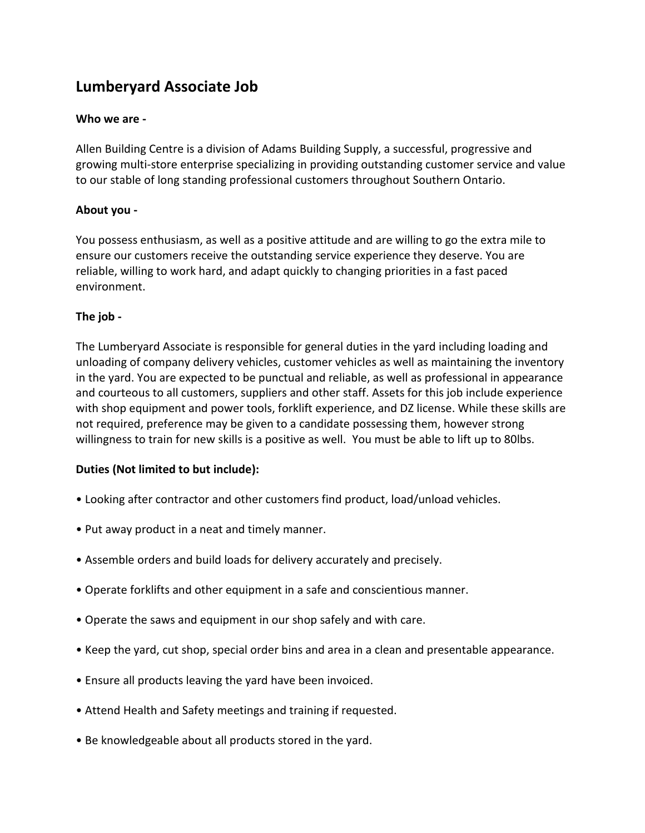# **Lumberyard Associate Job**

### **Who we are -**

Allen Building Centre is a division of Adams Building Supply, a successful, progressive and growing multi-store enterprise specializing in providing outstanding customer service and value to our stable of long standing professional customers throughout Southern Ontario.

#### **About you -**

You possess enthusiasm, as well as a positive attitude and are willing to go the extra mile to ensure our customers receive the outstanding service experience they deserve. You are reliable, willing to work hard, and adapt quickly to changing priorities in a fast paced environment.

## **The job -**

The Lumberyard Associate is responsible for general duties in the yard including loading and unloading of company delivery vehicles, customer vehicles as well as maintaining the inventory in the yard. You are expected to be punctual and reliable, as well as professional in appearance and courteous to all customers, suppliers and other staff. Assets for this job include experience with shop equipment and power tools, forklift experience, and DZ license. While these skills are not required, preference may be given to a candidate possessing them, however strong willingness to train for new skills is a positive as well. You must be able to lift up to 80lbs.

## **Duties (Not limited to but include):**

- Looking after contractor and other customers find product, load/unload vehicles.
- Put away product in a neat and timely manner.
- Assemble orders and build loads for delivery accurately and precisely.
- Operate forklifts and other equipment in a safe and conscientious manner.
- Operate the saws and equipment in our shop safely and with care.
- Keep the yard, cut shop, special order bins and area in a clean and presentable appearance.
- Ensure all products leaving the yard have been invoiced.
- Attend Health and Safety meetings and training if requested.
- Be knowledgeable about all products stored in the yard.